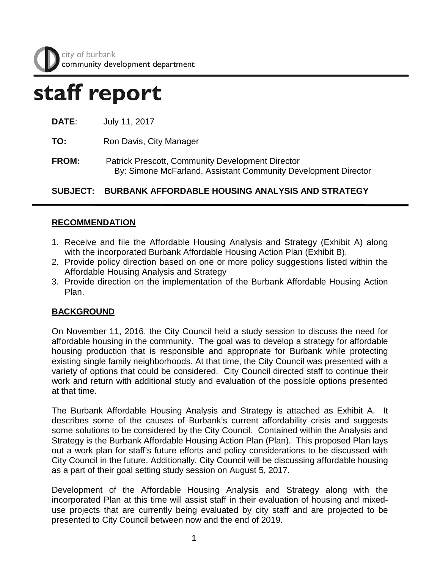# staff report

**TO:** Ron Davis, City Manager

**FROM:** Patrick Prescott, Community Development Director By: Simone McFarland, Assistant Community Development Director

**SUBJECT: BURBANK AFFORDABLE HOUSING ANALYSIS AND STRATEGY**

## **RECOMMENDATION**

- 1. Receive and file the Affordable Housing Analysis and Strategy (Exhibit A) along with the incorporated Burbank Affordable Housing Action Plan (Exhibit B).
- 2. Provide policy direction based on one or more policy suggestions listed within the Affordable Housing Analysis and Strategy
- 3. Provide direction on the implementation of the Burbank Affordable Housing Action Plan.

## **BACKGROUND**

On November 11, 2016, the City Council held a study session to discuss the need for affordable housing in the community. The goal was to develop a strategy for affordable housing production that is responsible and appropriate for Burbank while protecting existing single family neighborhoods. At that time, the City Council was presented with a variety of options that could be considered. City Council directed staff to continue their work and return with additional study and evaluation of the possible options presented at that time.

The Burbank Affordable Housing Analysis and Strategy is attached as Exhibit A. It describes some of the causes of Burbank's current affordability crisis and suggests some solutions to be considered by the City Council. Contained within the Analysis and Strategy is the Burbank Affordable Housing Action Plan (Plan). This proposed Plan lays out a work plan for staff's future efforts and policy considerations to be discussed with City Council in the future. Additionally, City Council will be discussing affordable housing as a part of their goal setting study session on August 5, 2017.

Development of the Affordable Housing Analysis and Strategy along with the incorporated Plan at this time will assist staff in their evaluation of housing and mixeduse projects that are currently being evaluated by city staff and are projected to be presented to City Council between now and the end of 2019.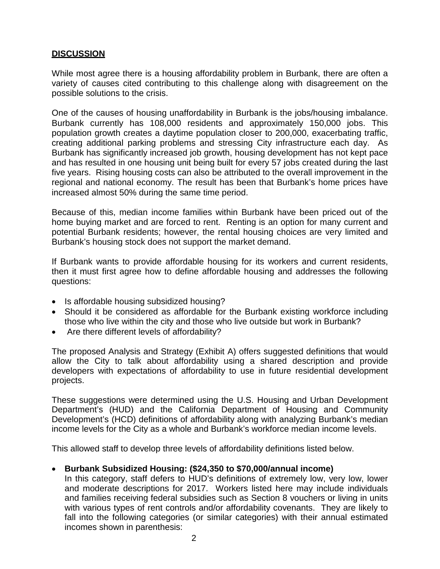#### **DISCUSSION**

While most agree there is a housing affordability problem in Burbank, there are often a variety of causes cited contributing to this challenge along with disagreement on the possible solutions to the crisis.

One of the causes of housing unaffordability in Burbank is the jobs/housing imbalance. Burbank currently has 108,000 residents and approximately 150,000 jobs. This population growth creates a daytime population closer to 200,000, exacerbating traffic, creating additional parking problems and stressing City infrastructure each day. As Burbank has significantly increased job growth, housing development has not kept pace and has resulted in one housing unit being built for every 57 jobs created during the last five years. Rising housing costs can also be attributed to the overall improvement in the regional and national economy. The result has been that Burbank's home prices have increased almost 50% during the same time period.

Because of this, median income families within Burbank have been priced out of the home buying market and are forced to rent. Renting is an option for many current and potential Burbank residents; however, the rental housing choices are very limited and Burbank's housing stock does not support the market demand.

If Burbank wants to provide affordable housing for its workers and current residents, then it must first agree how to define affordable housing and addresses the following questions:

- Is affordable housing subsidized housing?
- Should it be considered as affordable for the Burbank existing workforce including those who live within the city and those who live outside but work in Burbank?
- Are there different levels of affordability?

The proposed Analysis and Strategy (Exhibit A) offers suggested definitions that would allow the City to talk about affordability using a shared description and provide developers with expectations of affordability to use in future residential development projects.

These suggestions were determined using the U.S. Housing and Urban Development Department's (HUD) and the California Department of Housing and Community Development's (HCD) definitions of affordability along with analyzing Burbank's median income levels for the City as a whole and Burbank's workforce median income levels.

This allowed staff to develop three levels of affordability definitions listed below.

#### • **Burbank Subsidized Housing: (\$24,350 to \$70,000/annual income)**

In this category, staff defers to HUD's definitions of extremely low, very low, lower and moderate descriptions for 2017. Workers listed here may include individuals and families receiving federal subsidies such as Section 8 vouchers or living in units with various types of rent controls and/or affordability covenants. They are likely to fall into the following categories (or similar categories) with their annual estimated incomes shown in parenthesis: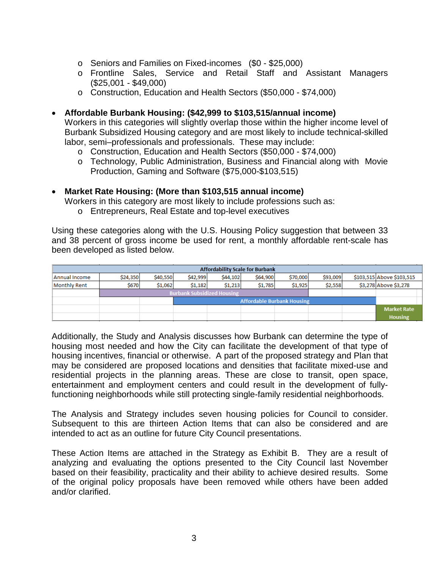- o Seniors and Families on Fixed-incomes (\$0 \$25,000)
- o Frontline Sales, Service and Retail Staff and Assistant Managers (\$25,001 - \$49,000)
- o Construction, Education and Health Sectors (\$50,000 \$74,000)

#### • **Affordable Burbank Housing: (\$42,999 to \$103,515/annual income)**

Workers in this categories will slightly overlap those within the higher income level of Burbank Subsidized Housing category and are most likely to include technical-skilled labor, semi–professionals and professionals. These may include:

- o Construction, Education and Health Sectors (\$50,000 \$74,000)
- o Technology, Public Administration, Business and Financial along with Movie Production, Gaming and Software (\$75,000-\$103,515)

#### • **Market Rate Housing: (More than \$103,515 annual income)**

Workers in this category are most likely to include professions such as:

o Entrepreneurs, Real Estate and top-level executives

Using these categories along with the U.S. Housing Policy suggestion that between 33 and 38 percent of gross income be used for rent, a monthly affordable rent-scale has been developed as listed below.

| <b>Affordability Scale for Burbank</b> |                                   |          |          |          |          |          |          |  |                           |
|----------------------------------------|-----------------------------------|----------|----------|----------|----------|----------|----------|--|---------------------------|
| Annual Income                          | \$24,350                          | \$40,550 | \$42,999 | \$44,102 | \$64,900 | \$70,000 | \$93,009 |  | \$103,515 Above \$103,515 |
| Monthly Rent                           | \$670                             | \$1,062  | \$1,182  | \$1,213  | \$1,785  | \$1,925  | \$2,558  |  | \$3,278 Above \$3,278     |
|                                        | <b>Burbank Subsidized Housing</b> |          |          |          |          |          |          |  |                           |
|                                        | <b>Affordable Burbank Housing</b> |          |          |          |          |          |          |  |                           |
|                                        |                                   |          |          |          |          |          |          |  | <b>Market Rate</b>        |
|                                        |                                   |          |          |          |          |          |          |  | <b>Housing</b>            |

Additionally, the Study and Analysis discusses how Burbank can determine the type of housing most needed and how the City can facilitate the development of that type of housing incentives, financial or otherwise. A part of the proposed strategy and Plan that may be considered are proposed locations and densities that facilitate mixed-use and residential projects in the planning areas. These are close to transit, open space, entertainment and employment centers and could result in the development of fullyfunctioning neighborhoods while still protecting single-family residential neighborhoods.

The Analysis and Strategy includes seven housing policies for Council to consider. Subsequent to this are thirteen Action Items that can also be considered and are intended to act as an outline for future City Council presentations.

These Action Items are attached in the Strategy as Exhibit B. They are a result of analyzing and evaluating the options presented to the City Council last November based on their feasibility, practicality and their ability to achieve desired results. Some of the original policy proposals have been removed while others have been added and/or clarified.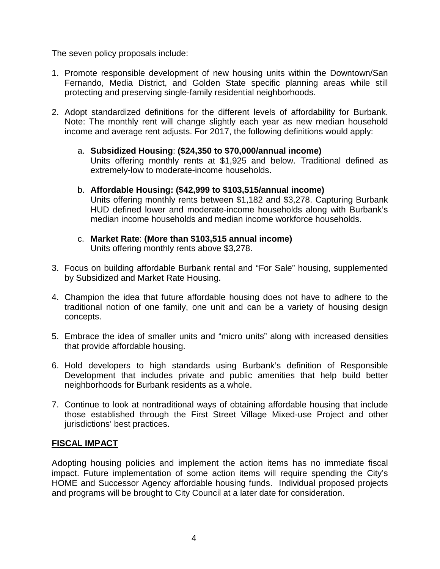The seven policy proposals include:

- 1. Promote responsible development of new housing units within the Downtown/San Fernando, Media District, and Golden State specific planning areas while still protecting and preserving single-family residential neighborhoods.
- 2. Adopt standardized definitions for the different levels of affordability for Burbank. Note: The monthly rent will change slightly each year as new median household income and average rent adjusts. For 2017, the following definitions would apply:
	- a. **Subsidized Housing**: **(\$24,350 to \$70,000/annual income)**  Units offering monthly rents at \$1,925 and below. Traditional defined as extremely-low to moderate-income households.
	- b. **Affordable Housing: (\$42,999 to \$103,515/annual income)** Units offering monthly rents between \$1,182 and \$3,278. Capturing Burbank HUD defined lower and moderate-income households along with Burbank's median income households and median income workforce households.
	- c. **Market Rate**: **(More than \$103,515 annual income)** Units offering monthly rents above \$3,278.
- 3. Focus on building affordable Burbank rental and "For Sale" housing, supplemented by Subsidized and Market Rate Housing.
- 4. Champion the idea that future affordable housing does not have to adhere to the traditional notion of one family, one unit and can be a variety of housing design concepts.
- 5. Embrace the idea of smaller units and "micro units" along with increased densities that provide affordable housing.
- 6. Hold developers to high standards using Burbank's definition of Responsible Development that includes private and public amenities that help build better neighborhoods for Burbank residents as a whole.
- 7. Continue to look at nontraditional ways of obtaining affordable housing that include those established through the First Street Village Mixed-use Project and other jurisdictions' best practices.

### **FISCAL IMPACT**

Adopting housing policies and implement the action items has no immediate fiscal impact. Future implementation of some action items will require spending the City's HOME and Successor Agency affordable housing funds. Individual proposed projects and programs will be brought to City Council at a later date for consideration.